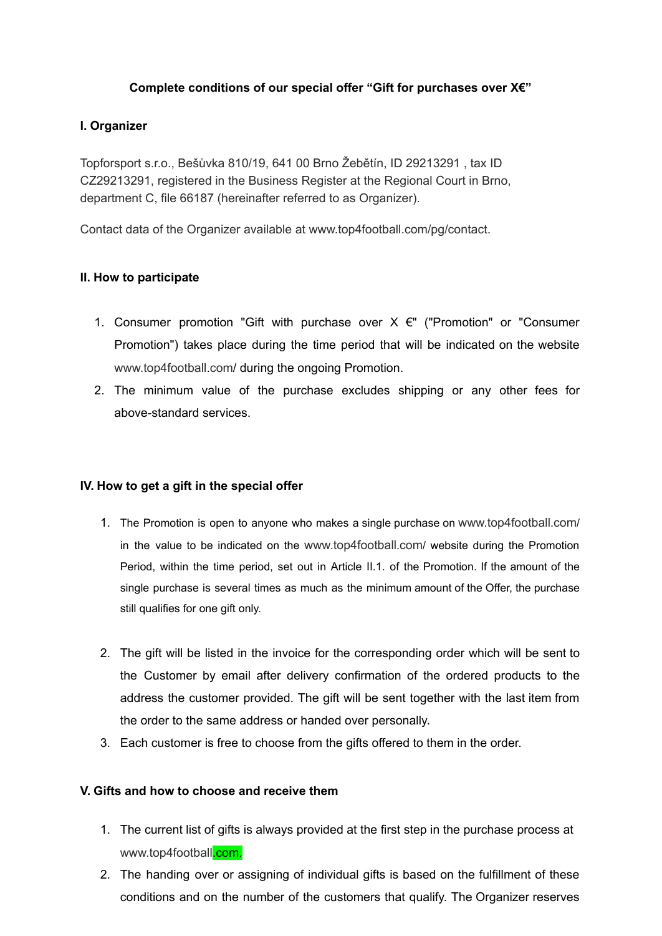# **Complete conditions of our special offer "Gift for purchases over X€"**

# **I. Organizer**

Topforsport s.r.o., Bešůvka 810/19, 641 00 Brno Žebětín, ID 29213291 , tax ID CZ29213291, registered in the Business Register at the Regional Court in Brno, department C, file 66187 (hereinafter referred to as Organizer).

Contact data of the Organizer available at [www.top4football.com/pg/contact.](http://www.top4running.pt/pg/contact)

# **II. How to participate**

- 1. Consumer promotion "Gift with purchase over  $X \in$ " ("Promotion" or "Consumer Promotion") takes place during the time period that will be indicated on the website [www.top4football.com/](http://www.top4running.pt/pg/contact) during the ongoing Promotion.
- 2. The minimum value of the purchase excludes shipping or any other fees for above-standard services.

### **IV. How to get a gift in the special offer**

- 1. The Promotion is open to anyone who makes a single purchase on [www.top4football](http://www.top4running.pt/pg/contact).[com](http://www.top4running.pt/pg/contact)/ in the value to be indicated on the [www.top4football](http://www.top4running.pt/pg/contact).[com](http://www.top4running.pt/pg/contact)/ website during the Promotion Period, within the time period, set out in Article II.1. of the Promotion. If the amount of the single purchase is several times as much as the minimum amount of the Offer, the purchase still qualifies for one gift only.
- 2. The gift will be listed in the invoice for the corresponding order which will be sent to the Customer by email after delivery confirmation of the ordered products to the address the customer provided. The gift will be sent together with the last item from the order to the same address or handed over personally.
- 3. Each customer is free to choose from the gifts offered to them in the order.

### **V. Gifts and how to choose and receive them**

- 1. The current list of gifts is always provided at the first step in the purchase process at [www.top4football](http://www.top4running.pt/pg/contact)[.com.](http://www.top4running.com/)
- 2. The handing over or assigning of individual gifts is based on the fulfillment of these conditions and on the number of the customers that qualify. The Organizer reserves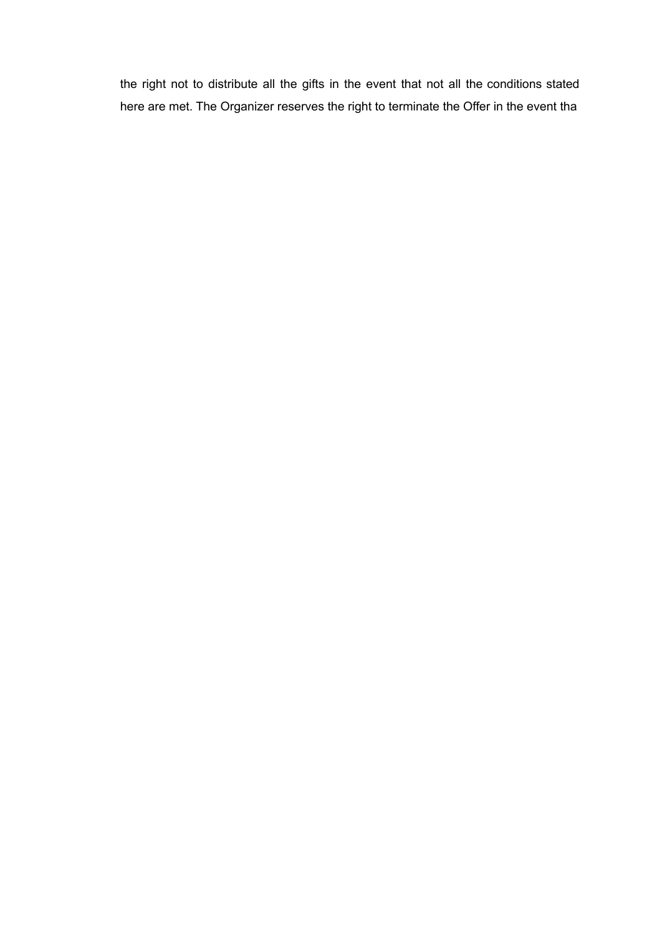the right not to distribute all the gifts in the event that not all the conditions stated here are met. The Organizer reserves the right to terminate the Offer in the event tha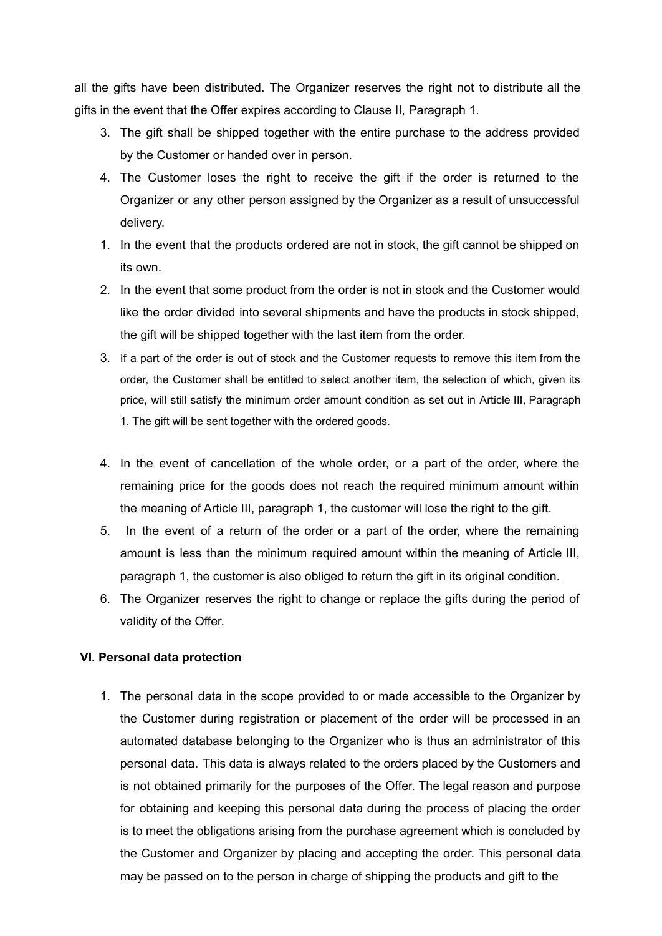all the gifts have been distributed. The Organizer reserves the right not to distribute all the gifts in the event that the Offer expires according to Clause II, Paragraph 1.

- 3. The gift shall be shipped together with the entire purchase to the address provided by the Customer or handed over in person.
- 4. The Customer loses the right to receive the gift if the order is returned to the Organizer or any other person assigned by the Organizer as a result of unsuccessful delivery.
- 1. In the event that the products ordered are not in stock, the gift cannot be shipped on its own.
- 2. In the event that some product from the order is not in stock and the Customer would like the order divided into several shipments and have the products in stock shipped, the gift will be shipped together with the last item from the order.
- 3. If a part of the order is out of stock and the Customer requests to remove this item from the order, the Customer shall be entitled to select another item, the selection of which, given its price, will still satisfy the minimum order amount condition as set out in Article III, Paragraph 1. The gift will be sent together with the ordered goods.
- 4. In the event of cancellation of the whole order, or a part of the order, where the remaining price for the goods does not reach the required minimum amount within the meaning of Article III, paragraph 1, the customer will lose the right to the gift.
- 5. In the event of a return of the order or a part of the order, where the remaining amount is less than the minimum required amount within the meaning of Article III, paragraph 1, the customer is also obliged to return the gift in its original condition.
- 6. The Organizer reserves the right to change or replace the gifts during the period of validity of the Offer.

#### **VI. Personal data protection**

1. The personal data in the scope provided to or made accessible to the Organizer by the Customer during registration or placement of the order will be processed in an automated database belonging to the Organizer who is thus an administrator of this personal data. This data is always related to the orders placed by the Customers and is not obtained primarily for the purposes of the Offer. The legal reason and purpose for obtaining and keeping this personal data during the process of placing the order is to meet the obligations arising from the purchase agreement which is concluded by the Customer and Organizer by placing and accepting the order. This personal data may be passed on to the person in charge of shipping the products and gift to the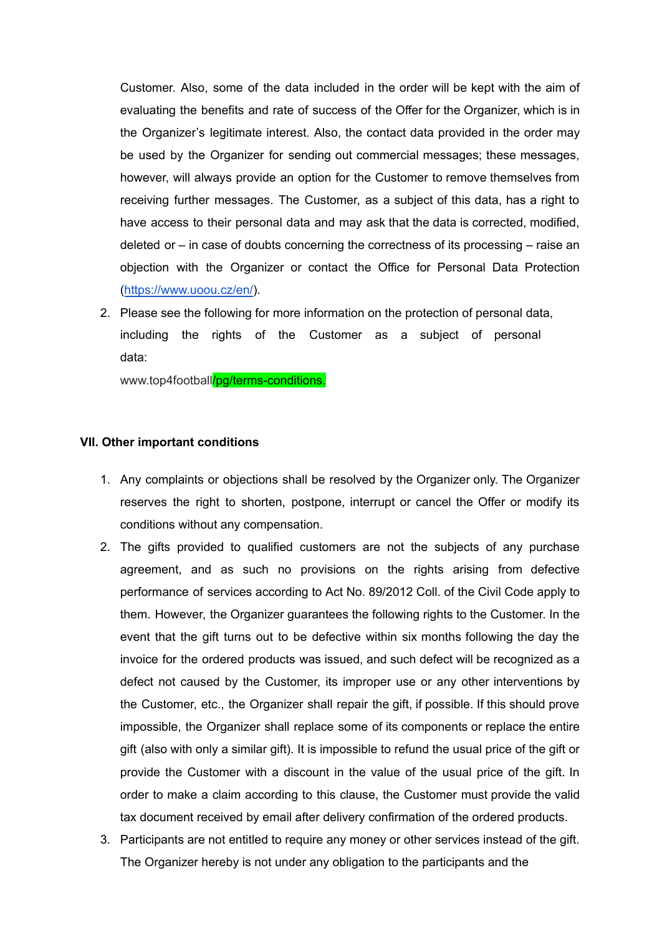Customer. Also, some of the data included in the order will be kept with the aim of evaluating the benefits and rate of success of the Offer for the Organizer, which is in the Organizer's legitimate interest. Also, the contact data provided in the order may be used by the Organizer for sending out commercial messages; these messages, however, will always provide an option for the Customer to remove themselves from receiving further messages. The Customer, as a subject of this data, has a right to have access to their personal data and may ask that the data is corrected, modified, deleted or – in case of doubts concerning the correctness of its processing – raise an objection with the Organizer or contact the Office for Personal Data Protection ([https://www.uoou.cz/en/\)](https://www.uoou.cz/en/).

2. Please see the following for more information on the protection of personal data, including the rights of the Customer as a subject of personal data:

[www.top4football](http://www.top4running.pt/pg/contact)[/pg/terms-conditions.](http://www.top4running.com/pg/terms-conditions)

#### **VII. Other important conditions**

- 1. Any complaints or objections shall be resolved by the Organizer only. The Organizer reserves the right to shorten, postpone, interrupt or cancel the Offer or modify its conditions without any compensation.
- 2. The gifts provided to qualified customers are not the subjects of any purchase agreement, and as such no provisions on the rights arising from defective performance of services according to Act No. 89/2012 Coll. of the Civil Code apply to them. However, the Organizer guarantees the following rights to the Customer. In the event that the gift turns out to be defective within six months following the day the invoice for the ordered products was issued, and such defect will be recognized as a defect not caused by the Customer, its improper use or any other interventions by the Customer, etc., the Organizer shall repair the gift, if possible. If this should prove impossible, the Organizer shall replace some of its components or replace the entire gift (also with only a similar gift). It is impossible to refund the usual price of the gift or provide the Customer with a discount in the value of the usual price of the gift. In order to make a claim according to this clause, the Customer must provide the valid tax document received by email after delivery confirmation of the ordered products.
- 3. Participants are not entitled to require any money or other services instead of the gift. The Organizer hereby is not under any obligation to the participants and the